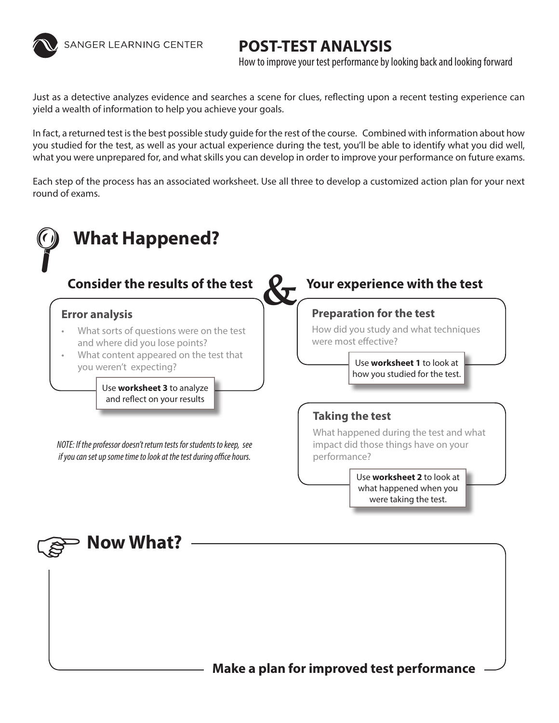

SANGER LEARNING CENTER

# **POST-TEST ANALYSIS**

How to improve your test performance by looking back and looking forward

Just as a detective analyzes evidence and searches a scene for clues, reflecting upon a recent testing experience can yield a wealth of information to help you achieve your goals.

In fact, a returned test is the best possible study guide for the rest of the course. Combined with information about how you studied for the test, as well as your actual experience during the test, you'll be able to identify what you did well, what you were unprepared for, and what skills you can develop in order to improve your performance on future exams.

Each step of the process has an associated worksheet. Use all three to develop a customized action plan for your next round of exams.

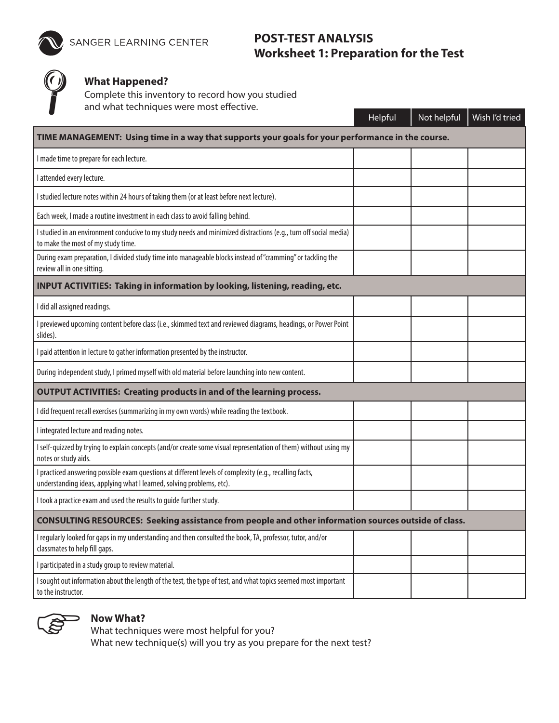

## **POST-TEST ANALYSIS Worksheet 1: Preparation for the Test**

Helpful Not helpful Wish I'd tried



What Happened?<br>
Complete this inventory to record how yo<br>
and what techniques were most effective. Complete this inventory to record how you studied

|                                                                                                                                                                                  | ncipiui | $\overline{\mathbf{v}}$ |  |
|----------------------------------------------------------------------------------------------------------------------------------------------------------------------------------|---------|-------------------------|--|
| TIME MANAGEMENT: Using time in a way that supports your goals for your performance in the course.                                                                                |         |                         |  |
| I made time to prepare for each lecture.                                                                                                                                         |         |                         |  |
| I attended every lecture.                                                                                                                                                        |         |                         |  |
| I studied lecture notes within 24 hours of taking them (or at least before next lecture).                                                                                        |         |                         |  |
| Each week, I made a routine investment in each class to avoid falling behind.                                                                                                    |         |                         |  |
| I studied in an environment conducive to my study needs and minimized distractions (e.g., turn off social media)<br>to make the most of my study time.                           |         |                         |  |
| During exam preparation, I divided study time into manageable blocks instead of "cramming" or tackling the<br>review all in one sitting.                                         |         |                         |  |
| INPUT ACTIVITIES: Taking in information by looking, listening, reading, etc.                                                                                                     |         |                         |  |
| I did all assigned readings.                                                                                                                                                     |         |                         |  |
| I previewed upcoming content before class (i.e., skimmed text and reviewed diagrams, headings, or Power Point<br>slides).                                                        |         |                         |  |
| I paid attention in lecture to gather information presented by the instructor.                                                                                                   |         |                         |  |
| During independent study, I primed myself with old material before launching into new content.                                                                                   |         |                         |  |
| <b>OUTPUT ACTIVITIES: Creating products in and of the learning process.</b>                                                                                                      |         |                         |  |
| I did frequent recall exercises (summarizing in my own words) while reading the textbook.                                                                                        |         |                         |  |
| I integrated lecture and reading notes.                                                                                                                                          |         |                         |  |
| I self-quizzed by trying to explain concepts (and/or create some visual representation of them) without using my<br>notes or study aids.                                         |         |                         |  |
| I practiced answering possible exam questions at different levels of complexity (e.g., recalling facts,<br>understanding ideas, applying what I learned, solving problems, etc). |         |                         |  |
| I took a practice exam and used the results to guide further study.                                                                                                              |         |                         |  |
| CONSULTING RESOURCES: Seeking assistance from people and other information sources outside of class.                                                                             |         |                         |  |
| I regularly looked for gaps in my understanding and then consulted the book, TA, professor, tutor, and/or<br>classmates to help fill gaps.                                       |         |                         |  |
| I participated in a study group to review material.                                                                                                                              |         |                         |  |
| I sought out information about the length of the test, the type of test, and what topics seemed most important<br>to the instructor.                                             |         |                         |  |



### **Now What?**

What techniques were most helpful for you?

What new technique(s) will you try as you prepare for the next test?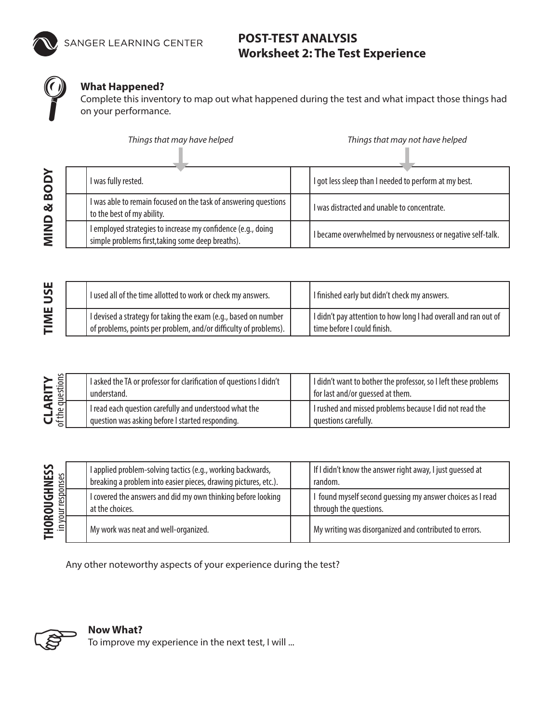## **POST-TEST ANALYSIS Worksheet 2: The Test Experience**



### **What Happened?**

Complete this inventory to map out what happened during the test and what impact those things had on your performance.

*Things that may have helped Things that may not have helped*

| <b>RODY</b> | I was fully rested.                                                                                               | I got less sleep than I needed to perform at my best.      |
|-------------|-------------------------------------------------------------------------------------------------------------------|------------------------------------------------------------|
| త           | I was able to remain focused on the task of answering questions<br>to the best of my ability.                     | I was distracted and unable to concentrate.                |
| QININ       | I employed strategies to increase my confidence (e.g., doing<br>simple problems first, taking some deep breaths). | I became overwhelmed by nervousness or negative self-talk. |

| ш<br>$\mathbf{v}$<br>∍       | . I used all of the time allotted to work or check my answers.                                                                                  | I finished early but didn't check my answers.                                                  |
|------------------------------|-------------------------------------------------------------------------------------------------------------------------------------------------|------------------------------------------------------------------------------------------------|
| ш<br>$\overline{\mathsf{z}}$ | $^{\prime}$ I devised a strategy for taking the exam (e.g., based on number<br>of problems, points per problem, and/or difficulty of problems). | I didn't pay attention to how long I had overall and ran out of<br>time before I could finish. |

| <b>RITY</b><br>uestions | I asked the TA or professor for clarification of questions I didn't<br>understand.                         | I didn't want to bother the professor, so I left these problems<br>for last and/or quessed at them. |
|-------------------------|------------------------------------------------------------------------------------------------------------|-----------------------------------------------------------------------------------------------------|
| <b>CLA</b>              | I read each question carefully and understood what the<br>question was asking before I started responding. | I rushed and missed problems because I did not read the<br>questions carefully.                     |

| <b>JUGHNESS</b><br><b>Exponses</b> | I applied problem-solving tactics (e.g., working backwards,<br>breaking a problem into easier pieces, drawing pictures, etc.). | If I didn't know the answer right away, I just quessed at<br>random.                 |
|------------------------------------|--------------------------------------------------------------------------------------------------------------------------------|--------------------------------------------------------------------------------------|
| <b>Q</b><br>$\overline{5}$         | I covered the answers and did my own thinking before looking<br>at the choices.                                                | I found myself second guessing my answer choices as I read<br>through the questions. |
| 오르                                 | My work was neat and well-organized.                                                                                           | My writing was disorganized and contributed to errors.                               |

Any other noteworthy aspects of your experience during the test?



### **Now What?**

To improve my experience in the next test, I will ...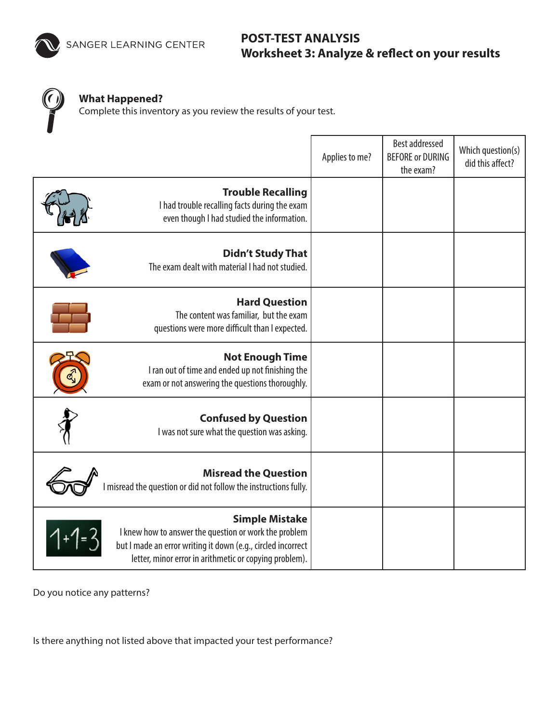

## **What Happened?**

Complete this inventory as you review the results of your test.

|                                                                                                                                                                                                          | Applies to me? | <b>Best addressed</b><br><b>BEFORE or DURING</b><br>the exam? | Which question(s)<br>did this affect? |
|----------------------------------------------------------------------------------------------------------------------------------------------------------------------------------------------------------|----------------|---------------------------------------------------------------|---------------------------------------|
| <b>Trouble Recalling</b><br>I had trouble recalling facts during the exam<br>even though I had studied the information.                                                                                  |                |                                                               |                                       |
| <b>Didn't Study That</b><br>The exam dealt with material I had not studied.                                                                                                                              |                |                                                               |                                       |
| <b>Hard Question</b><br>The content was familiar, but the exam<br>questions were more difficult than I expected.                                                                                         |                |                                                               |                                       |
| <b>Not Enough Time</b><br>I ran out of time and ended up not finishing the<br>exam or not answering the questions thoroughly.                                                                            |                |                                                               |                                       |
| <b>Confused by Question</b><br>I was not sure what the question was asking.                                                                                                                              |                |                                                               |                                       |
| <b>Misread the Question</b><br>I misread the question or did not follow the instructions fully.                                                                                                          |                |                                                               |                                       |
| <b>Simple Mistake</b><br>I knew how to answer the question or work the problem<br>but I made an error writing it down (e.g., circled incorrect<br>letter, minor error in arithmetic or copying problem). |                |                                                               |                                       |

Do you notice any patterns?

Is there anything not listed above that impacted your test performance?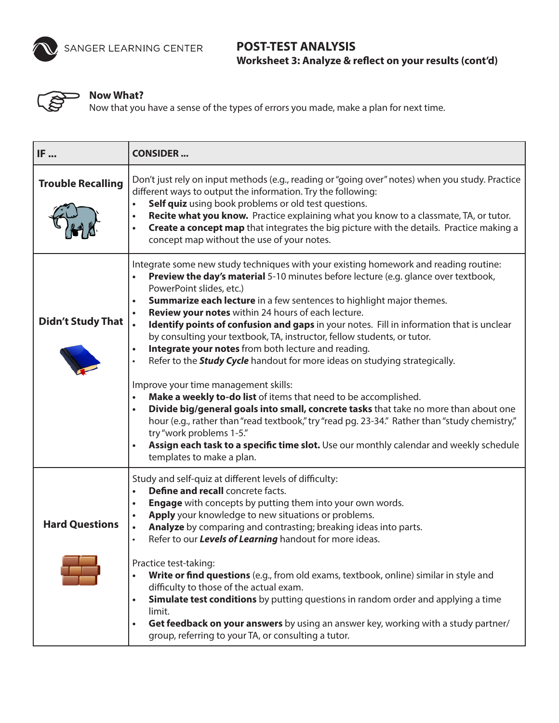

**Now What?** Now What? Now What? Now that you have a sense of the types of errors you made, make a plan for next time.

| IF                       | <b>CONSIDER</b>                                                                                                                                                                                                                                                                                                                                                                                                                                                                                                                                                                                                                                                                                                                                                                                                                                                                                                                                                                                                                                                                                                                                                                                     |
|--------------------------|-----------------------------------------------------------------------------------------------------------------------------------------------------------------------------------------------------------------------------------------------------------------------------------------------------------------------------------------------------------------------------------------------------------------------------------------------------------------------------------------------------------------------------------------------------------------------------------------------------------------------------------------------------------------------------------------------------------------------------------------------------------------------------------------------------------------------------------------------------------------------------------------------------------------------------------------------------------------------------------------------------------------------------------------------------------------------------------------------------------------------------------------------------------------------------------------------------|
| <b>Trouble Recalling</b> | Don't just rely on input methods (e.g., reading or "going over" notes) when you study. Practice<br>different ways to output the information. Try the following:<br>Self quiz using book problems or old test questions.<br>$\bullet$<br>Recite what you know. Practice explaining what you know to a classmate, TA, or tutor.<br>$\bullet$<br>Create a concept map that integrates the big picture with the details. Practice making a<br>$\bullet$<br>concept map without the use of your notes.                                                                                                                                                                                                                                                                                                                                                                                                                                                                                                                                                                                                                                                                                                   |
| <b>Didn't Study That</b> | Integrate some new study techniques with your existing homework and reading routine:<br>Preview the day's material 5-10 minutes before lecture (e.g. glance over textbook,<br>PowerPoint slides, etc.)<br><b>Summarize each lecture</b> in a few sentences to highlight major themes.<br>$\bullet$<br>Review your notes within 24 hours of each lecture.<br>Identify points of confusion and gaps in your notes. Fill in information that is unclear<br>by consulting your textbook, TA, instructor, fellow students, or tutor.<br>Integrate your notes from both lecture and reading.<br>$\bullet$<br>Refer to the <b>Study Cycle</b> handout for more ideas on studying strategically.<br>$\bullet$<br>Improve your time management skills:<br>Make a weekly to-do list of items that need to be accomplished.<br>$\bullet$<br>Divide big/general goals into small, concrete tasks that take no more than about one<br>$\bullet$<br>hour (e.g., rather than "read textbook," try "read pg. 23-34." Rather than "study chemistry,"<br>try "work problems 1-5."<br>Assign each task to a specific time slot. Use our monthly calendar and weekly schedule<br>$\bullet$<br>templates to make a plan. |
| <b>Hard Questions</b>    | Study and self-quiz at different levels of difficulty:<br>Define and recall concrete facts.<br>$\bullet$<br><b>Engage</b> with concepts by putting them into your own words.<br>$\bullet$<br>Apply your knowledge to new situations or problems.<br>$\bullet$<br>Analyze by comparing and contrasting; breaking ideas into parts.<br>$\bullet$<br>Refer to our Levels of Learning handout for more ideas.<br>Practice test-taking:<br>Write or find questions (e.g., from old exams, textbook, online) similar in style and<br>$\bullet$<br>difficulty to those of the actual exam.<br>Simulate test conditions by putting questions in random order and applying a time<br>limit.<br>Get feedback on your answers by using an answer key, working with a study partner/<br>$\bullet$<br>group, referring to your TA, or consulting a tutor.                                                                                                                                                                                                                                                                                                                                                        |